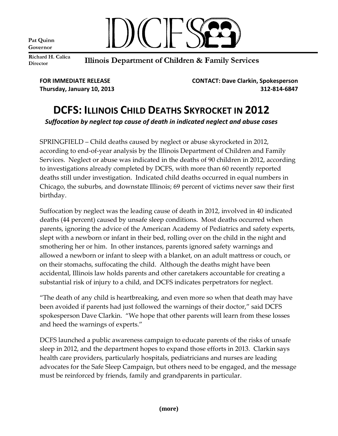Pat Quinn Governor



Richard H. Calica Director

Illinois Department of Children & Family Services

**FOR IMMEDIATE RELEASE CONTACT: Dave Clarkin, Spokesperson Thursday, January 10, 2013 312-814-6847**

## **DCFS: ILLINOIS CHILD DEATHS SKYROCKET IN 2012**

*Suffocation by neglect top cause of death in indicated neglect and abuse cases*

SPRINGFIELD – Child deaths caused by neglect or abuse skyrocketed in 2012, according to end-of-year analysis by the Illinois Department of Children and Family Services. Neglect or abuse was indicated in the deaths of 90 children in 2012, according to investigations already completed by DCFS, with more than 60 recently reported deaths still under investigation. Indicated child deaths occurred in equal numbers in Chicago, the suburbs, and downstate Illinois; 69 percent of victims never saw their first birthday.

Suffocation by neglect was the leading cause of death in 2012, involved in 40 indicated deaths (44 percent) caused by unsafe sleep conditions. Most deaths occurred when parents, ignoring the advice of the American Academy of Pediatrics and safety experts, slept with a newborn or infant in their bed, rolling over on the child in the night and smothering her or him. In other instances, parents ignored safety warnings and allowed a newborn or infant to sleep with a blanket, on an adult mattress or couch, or on their stomachs, suffocating the child. Although the deaths might have been accidental, Illinois law holds parents and other caretakers accountable for creating a substantial risk of injury to a child, and DCFS indicates perpetrators for neglect.

"The death of any child is heartbreaking, and even more so when that death may have been avoided if parents had just followed the warnings of their doctor," said DCFS spokesperson Dave Clarkin. "We hope that other parents will learn from these losses and heed the warnings of experts."

DCFS launched a public awareness campaign to educate parents of the risks of unsafe sleep in 2012, and the department hopes to expand those efforts in 2013. Clarkin says health care providers, particularly hospitals, pediatricians and nurses are leading advocates for the Safe Sleep Campaign, but others need to be engaged, and the message must be reinforced by friends, family and grandparents in particular.